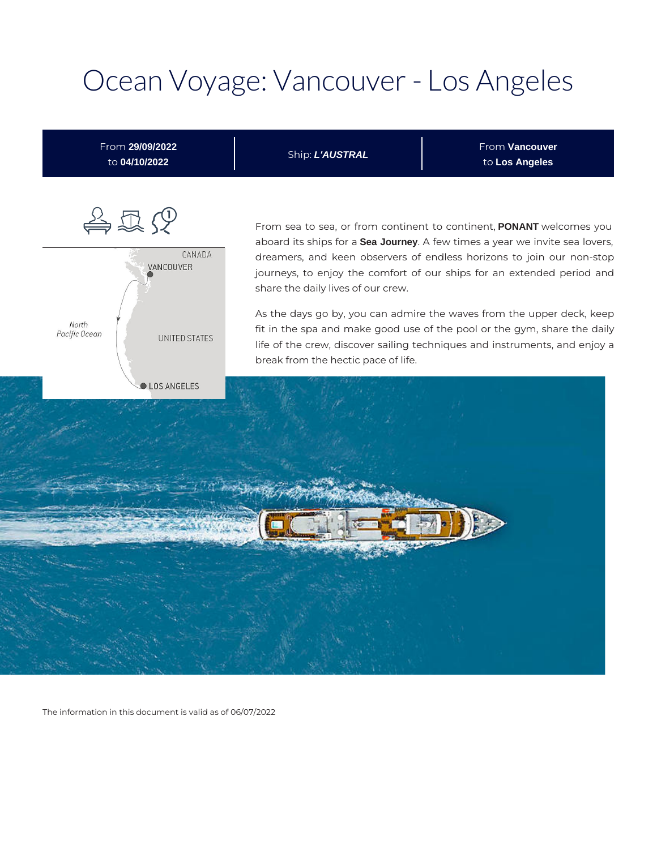# Ocean Voyage: Vancouver - Los Angeles



The information in this document is valid as of 06/07/2022